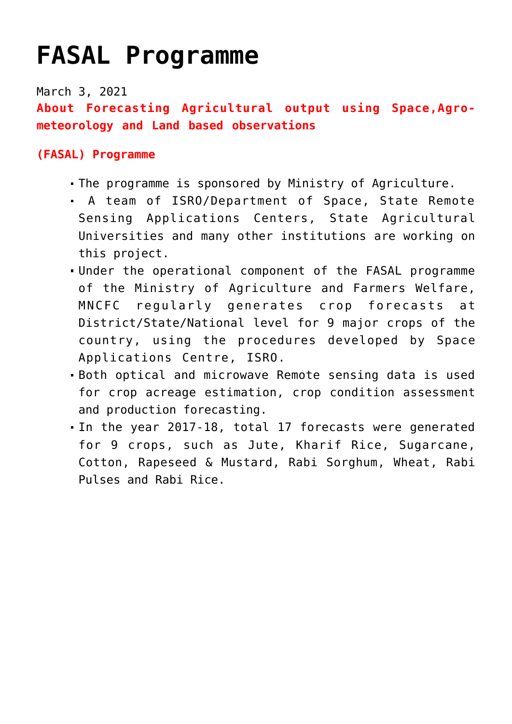## **[FASAL Programme](https://journalsofindia.com/fasal-programme/)**

March 3, 2021

**About Forecasting Agricultural output using Space,Agrometeorology and Land based observations**

## **(FASAL) Programme**

- The programme is sponsored by Ministry of Agriculture.
- A team of ISRO/Department of Space, State Remote Sensing Applications Centers, State Agricultural Universities and many other institutions are working on this project.
- Under the operational component of the FASAL programme of the Ministry of Agriculture and Farmers Welfare, MNCFC regularly generates crop forecasts at District/State/National level for 9 major crops of the country, using the procedures developed by Space Applications Centre, ISRO.
- Both optical and microwave Remote sensing data is used for crop acreage estimation, crop condition assessment and production forecasting.
- In the year 2017-18, total 17 forecasts were generated for 9 crops, such as Jute, Kharif Rice, Sugarcane, Cotton, Rapeseed & Mustard, Rabi Sorghum, Wheat, Rabi Pulses and Rabi Rice.